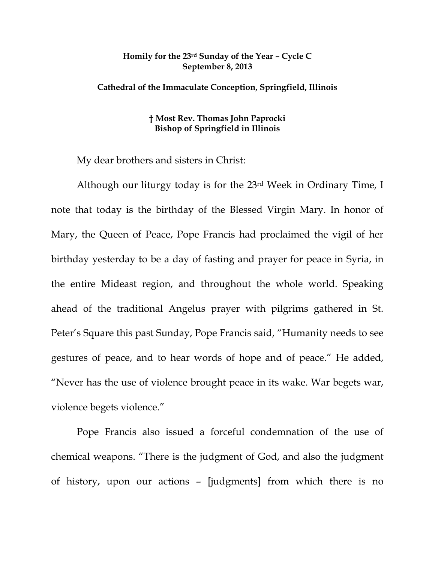## **Homily for the 23rd Sunday of the Year – Cycle C September 8, 2013**

## **Cathedral of the Immaculate Conception, Springfield, Illinois**

## **† Most Rev. Thomas John Paprocki Bishop of Springfield in Illinois**

My dear brothers and sisters in Christ:

Although our liturgy today is for the 23rd Week in Ordinary Time, I note that today is the birthday of the Blessed Virgin Mary. In honor of Mary, the Queen of Peace, Pope Francis had proclaimed the vigil of her birthday yesterday to be a day of fasting and prayer for peace in Syria, in the entire Mideast region, and throughout the whole world. Speaking ahead of the traditional Angelus prayer with pilgrims gathered in St. Peter's Square this past Sunday, Pope Francis said, "Humanity needs to see gestures of peace, and to hear words of hope and of peace." He added, "Never has the use of violence brought peace in its wake. War begets war, violence begets violence."

Pope Francis also issued a forceful condemnation of the use of chemical weapons. "There is the judgment of God, and also the judgment of history, upon our actions – [judgments] from which there is no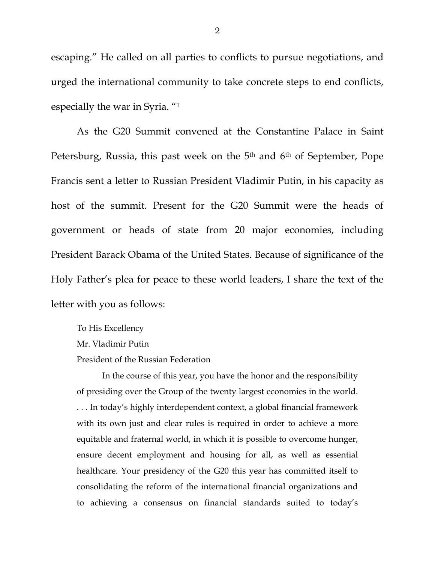escaping." He called on all parties to conflicts to pursue negotiations, and urged the international community to take concrete steps to end conflicts, especially the war in Syria. "1

As the G20 Summit convened at the Constantine Palace in Saint Petersburg, Russia, this past week on the 5<sup>th</sup> and 6<sup>th</sup> of September, Pope Francis sent a letter to Russian President Vladimir Putin, in his capacity as host of the summit. Present for the G20 Summit were the heads of government or heads of state from 20 major economies, including President Barack Obama of the United States. Because of significance of the Holy Father's plea for peace to these world leaders, I share the text of the letter with you as follows:

To His Excellency Mr. Vladimir Putin President of the Russian Federation

In the course of this year, you have the honor and the responsibility of presiding over the Group of the twenty largest economies in the world. . . . In today's highly interdependent context, a global financial framework with its own just and clear rules is required in order to achieve a more equitable and fraternal world, in which it is possible to overcome hunger, ensure decent employment and housing for all, as well as essential healthcare. Your presidency of the G20 this year has committed itself to consolidating the reform of the international financial organizations and to achieving a consensus on financial standards suited to today's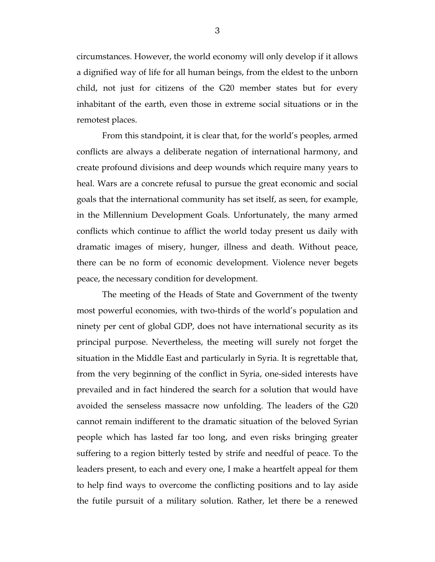circumstances. However, the world economy will only develop if it allows a dignified way of life for all human beings, from the eldest to the unborn child, not just for citizens of the G20 member states but for every inhabitant of the earth, even those in extreme social situations or in the remotest places.

From this standpoint, it is clear that, for the world's peoples, armed conflicts are always a deliberate negation of international harmony, and create profound divisions and deep wounds which require many years to heal. Wars are a concrete refusal to pursue the great economic and social goals that the international community has set itself, as seen, for example, in the Millennium Development Goals. Unfortunately, the many armed conflicts which continue to afflict the world today present us daily with dramatic images of misery, hunger, illness and death. Without peace, there can be no form of economic development. Violence never begets peace, the necessary condition for development.

The meeting of the Heads of State and Government of the twenty most powerful economies, with two-thirds of the world's population and ninety per cent of global GDP, does not have international security as its principal purpose. Nevertheless, the meeting will surely not forget the situation in the Middle East and particularly in Syria. It is regrettable that, from the very beginning of the conflict in Syria, one-sided interests have prevailed and in fact hindered the search for a solution that would have avoided the senseless massacre now unfolding. The leaders of the G20 cannot remain indifferent to the dramatic situation of the beloved Syrian people which has lasted far too long, and even risks bringing greater suffering to a region bitterly tested by strife and needful of peace. To the leaders present, to each and every one, I make a heartfelt appeal for them to help find ways to overcome the conflicting positions and to lay aside the futile pursuit of a military solution. Rather, let there be a renewed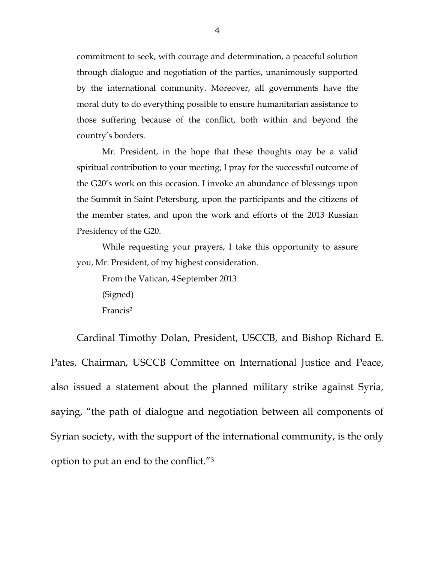commitment to seek, with courage and determination, a peaceful solution through dialogue and negotiation of the parties, unanimously supported by the international community. Moreover, all governments have the moral duty to do everything possible to ensure humanitarian assistance to those suffering because of the conflict, both within and beyond the country's borders.

Mr. President, in the hope that these thoughts may be a valid spiritual contribution to your meeting, I pray for the successful outcome of the G20's work on this occasion. I invoke an abundance of blessings upon the Summit in Saint Petersburg, upon the participants and the citizens of the member states, and upon the work and efforts of the 2013 Russian Presidency of the G20.

While requesting your prayers, I take this opportunity to assure you, Mr. President, of my highest consideration.

From the Vatican, 4 September 2013 (Signed) Francis2

Cardinal Timothy Dolan, President, USCCB, and Bishop Richard E. Pates, Chairman, USCCB Committee on International Justice and Peace, also issued a statement about the planned military strike against Syria, saying, "the path of dialogue and negotiation between all components of Syrian society, with the support of the international community, is the only option to put an end to the conflict."3